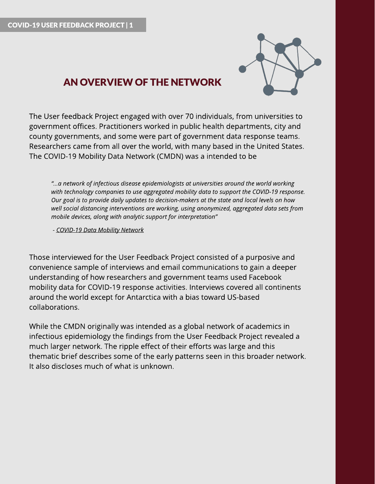

# AN OVERVIEW OFTHENETWORK

The User feedback Project engaged with over 70 individuals, from universities to government offices. Practitioners worked in public health departments, city and county governments, and some were part of government data response teams. Researchers came from all over the world, with many based in the United States. The COVID-19 Mobility Data Network (CMDN) was a intended to be

**?...a network of infectiousdiseaseepidemiologistsat universitiesaround the world working with technologycompaniesto useaggregated mobility data to support the COVID-19 response. Our goal isto provide daily updatesto decision-makersat thestateand local levelson how well** social distancing interventions are working, using anonymized, aggregated data sets from **mobile devices, alongwith analyticsupport for interpretation?**

**- [COVID-19](https://www.covid19mobility.org/) [Data](https://www.covid19mobility.org/) [Mobility](https://www.covid19mobility.org/) [Network](https://www.covid19mobility.org/)**

Those interviewed for the User Feedback Project consisted of a purposive and convenience sample of interviews and email communications to gain a deeper understanding of how researchers and government teams used Facebook mobility data for COVID-19 response activities. Interviews covered all continents around the world except for Antarctica with a bias toward US-based collaborations.

While the CMDN originally was intended as a global network of academics in infectious epidemiology the findings from the User Feedback Project revealed a much larger network. The ripple effect of their efforts was large and this thematic brief describes some of the early patterns seen in this broader network. It also discloses much of what is unknown.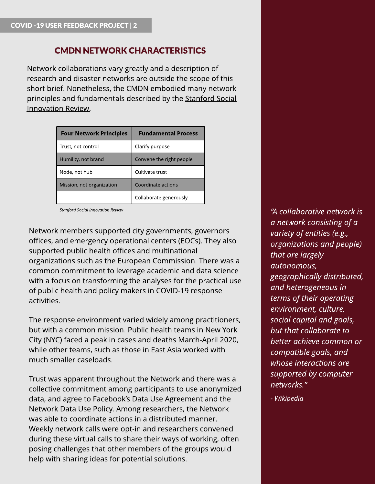## CMDN NETWORK CHARACTERISTICS

Network collaborations vary greatly and a description of research and disaster networks are outside the scope of this short brief. Nonetheless, the CMDN embodied many network principles and fundamentals described by the [Stanford](https://ssir.org/articles/entry/five_steps_to_building_an_effective_impact_network) [Social](https://ssir.org/articles/entry/five_steps_to_building_an_effective_impact_network) [Innovation](https://ssir.org/articles/entry/five_steps_to_building_an_effective_impact_network) [Review.](https://ssir.org/articles/entry/five_steps_to_building_an_effective_impact_network)

| <b>Four Network Principles</b> | <b>Fundamental Process</b> |
|--------------------------------|----------------------------|
| Trust, not control             | Clarify purpose            |
| Humility, not brand            | Convene the right people   |
| Node, not hub                  | Cultivate trust            |
| Mission, not organization      | Coordinate actions         |
|                                | Collaborate generously     |

**Stanford Social Innovation Review**

Network members supported city governments, governors offices, and emergency operational centers (EOCs). They also supported public health offices and multinational organizations such as the European Commission. There was a common commitment to leverage academic and data science with a focus on transforming the analyses for the practical use of public health and policy makers in COVID-19 response activities.

The response environment varied widely among practitioners, but with a common mission. Public health teams in New York City (NYC) faced a peak in cases and deaths March-April 2020, while other teams, such as those in East Asia worked with much smaller caseloads.

Trust was apparent throughout the Network and there was a collective commitment among participants to use anonymized data, and agree to Facebook's Data Use Agreement and the Network Data Use Policy. Among researchers, the Network was able to coordinate actions in a distributed manner. Weekly network calls were opt-in and researchers convened during these virtual calls to share their ways of working, often posing challenges that other members of the groups would help with sharing ideas for potential solutions.

**?Acollaborative network is a network consistingof a variety of entities(e.g., organizationsand people) that are largely autonomous, geographically distributed, and heterogeneousin termsof their operating environment, culture, social capital and goals, but that collaborate to better achieve common or compatible goals, and whose** interactions are **supported by computer networks.?**

**- [Wikipedia](https://en.wikipedia.org/wiki/Collaborative_network#cite_note-2)**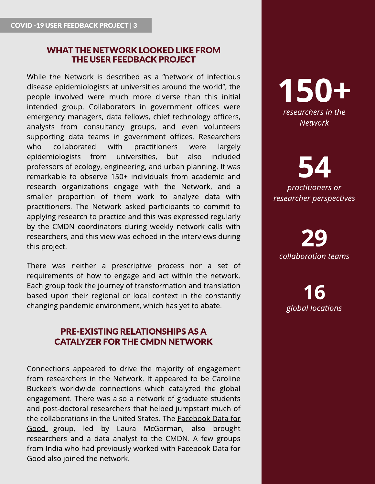#### WHAT THE NETWORK LOOKED LIKE FROM THE USER FEEDBACK PROJECT

While the Network is described as a "network of infectious disease epidemiologists at universities around the world", the people involved were much more diverse than this initial intended group. Collaborators in government offices were emergency managers, data fellows, chief technology officers, analysts from consultancy groups, and even volunteers supporting data teams in government offices. Researchers who collaborated with practitioners were largely epidemiologists from universities, but also included professors of ecology, engineering, and urban planning. It was remarkable to observe 150+ individuals from academic and research organizations engage with the Network, and a smaller proportion of them work to analyze data with practitioners. The Network asked participants to commit to applying research to practice and this was expressed regularly by the CMDN coordinators during weekly network calls with researchers, and this view was echoed in the interviews during this project.

There was neither a prescriptive process nor a set of requirements of how to engage and act within the network. Each group took the journey of transformation and translation based upon their regional or local context in the constantly changing pandemic environment, which has yet to abate.

### PRE-EXISTING RELATIONSHIPS AS A **CATALYZER FOR THE CMDN NETWORK**

Connections appeared to drive the majority of engagement from researchers in the Network. It appeared to be Caroline Buckee?s worldwide connections which catalyzed the global engagement. There was also a network of graduate students and post-doctoral researchers that helped jumpstart much of the collaborations in the United States. The [Facebook](https://dataforgood.fb.com/) [Data](https://dataforgood.fb.com/) [for](https://dataforgood.fb.com/) [Good](https://dataforgood.fb.com/) group, led by Laura McGorman, also brought researchers and a data analyst to the CMDN. A few groups from India who had previously worked with Facebook Data for Good also joined the network.



54 **practitioners** or **researcher perspectives**

29 **collaboration teams**

16 **global locations**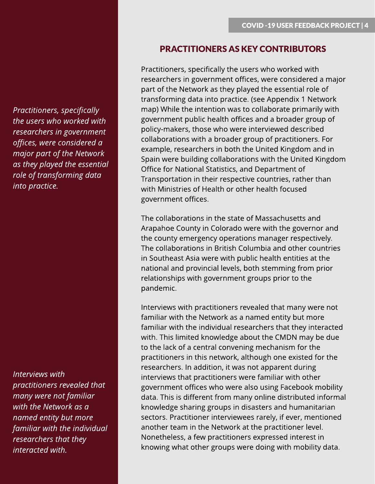**Practitioners, specifically the userswho worked with researchers in government offices, were considered a major part of the Network asthey played the essential role** of transforming data **into practice.**

**Interviews with practitioners revealed that many were not familiar with the Network asa named entity but more familiar with the individual researchers that they interacted with.**

#### PRACTITIONERS AS KEY CONTRIBUTORS

Practitioners, specifically the users who worked with researchers in government offices, were considered a major part of the Network as they played the essential role of transforming data into practice. (see Appendix 1 Network map) While the intention was to collaborate primarily with government public health offices and a broader group of policy-makers, those who were interviewed described collaborations with a broader group of practitioners. For example, researchers in both the United Kingdom and in Spain were building collaborations with the United Kingdom Office for National Statistics, and Department of Transportation in their respective countries, rather than with Ministries of Health or other health focused government offices.

The collaborations in the state of Massachusetts and Arapahoe County in Colorado were with the governor and the county emergency operations manager respectively. The collaborations in British Columbia and other countries in Southeast Asia were with public health entities at the national and provincial levels, both stemming from prior relationships with government groups prior to the pandemic.

Interviews with practitioners revealed that many were not familiar with the Network as a named entity but more familiar with the individual researchers that they interacted with. This limited knowledge about the CMDN may be due to the lack of a central convening mechanism for the practitioners in this network, although one existed for the researchers. In addition, it was not apparent during interviews that practitioners were familiar with other government offices who were also using Facebook mobility data. This is different from many online distributed informal knowledge sharing groups in disasters and humanitarian sectors. Practitioner interviewees rarely, if ever, mentioned another team in the Network at the practitioner level. Nonetheless, a few practitioners expressed interest in knowing what other groups were doing with mobility data.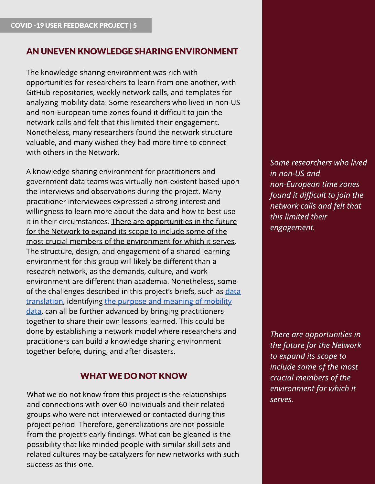### AN UNEVEN KNOWLEDGESHARINGENVIRONMENT

The knowledge sharing environment was rich with opportunities for researchers to learn from one another, with GitHub repositories, weekly network calls, and templates for analyzing mobility data. Some researchers who lived in non-US and non-European time zones found it difficult to join the network calls and felt that this limited their engagement. Nonetheless, many researchers found the network structure valuable, and many wished they had more time to connect with others in the Network.

A knowledge sharing environment for practitioners and government data teams was virtually non-existent based upon the interviews and observations during the project. Many practitioner interviewees expressed a strong interest and willingness to learn more about the data and how to best use it in their circumstances. There are opportunities in the future for the Network to expand its scope to include some of the most crucial members of the environment for which it serves. The structure, design, and engagement of a shared learning environment for this group will likely be different than a research network, as the demands, culture, and work environment are different than academia. Nonetheless, some of the challenges described in this project's briefs, such as [data](https://pub.lucidpress.com/CMDN_UserFdbck_Brief4/) [translation](https://pub.lucidpress.com/CMDN_UserFdbck_Brief4/), identifying [the](https://pub.lucidpress.com/CMDN_UserFdbck_Brief4/) [purpose](https://pub.lucidpress.com/CMDN_UserFdbck_Brief4/) [and](https://pub.lucidpress.com/CMDN_UserFdbck_Brief4/) [meaning](https://pub.lucidpress.com/CMDN_UserFdbck_Brief4/) [of](https://pub.lucidpress.com/CMDN_UserFdbck_Brief4/) [mobility](https://pub.lucidpress.com/CMDN_UserFdbck_Brief4/) [data,](https://pub.lucidpress.com/CMDN_UserFdbck_Brief4/) can all be further advanced by bringing practitioners together to share their own lessons learned. This could be done by establishing a network model where researchers and practitioners can build a knowledge sharing environment together before, during, and after disasters.

### WHAT WEDO NOT KNOW

What we do not know from this project is the relationships and connections with over 60 individuals and their related groups who were not interviewed or contacted during this project period. Therefore, generalizations are not possible from the project's early findings. What can be gleaned is the possibility that like minded people with similar skill sets and related cultures may be catalyzers for new networks with such success as this one.

**Some researcherswho lived in non-USand non-European time zones found it difficult to join the network callsand felt that this limited their engagement.**

**There** are *opportunities* in **the future for the Network to** *expand its scope to* **include some of the most crucial membersof the environment for which it serves.**